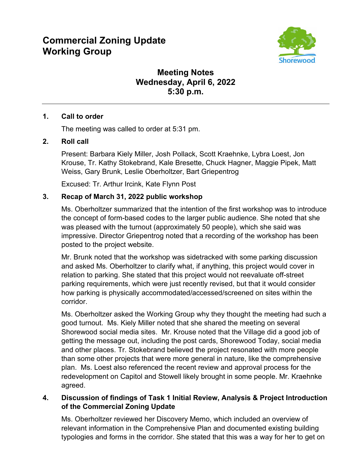# **Commercial Zoning Update Working Group**



# **Meeting Notes Wednesday, April 6, 2022 5:30 p.m.**

#### **1. Call to order**

The meeting was called to order at 5:31 pm.

#### **2. Roll call**

Present: Barbara Kiely Miller, Josh Pollack, Scott Kraehnke, Lybra Loest, Jon Krouse, Tr. Kathy Stokebrand, Kale Bresette, Chuck Hagner, Maggie Pipek, Matt Weiss, Gary Brunk, Leslie Oberholtzer, Bart Griepentrog

Excused: Tr. Arthur Ircink, Kate Flynn Post

## **3. Recap of March 31, 2022 public workshop**

Ms. Oberholtzer summarized that the intention of the first workshop was to introduce the concept of form-based codes to the larger public audience. She noted that she was pleased with the turnout (approximately 50 people), which she said was impressive. Director Griepentrog noted that a recording of the workshop has been posted to the project website.

Mr. Brunk noted that the workshop was sidetracked with some parking discussion and asked Ms. Oberholtzer to clarify what, if anything, this project would cover in relation to parking. She stated that this project would not reevaluate off-street parking requirements, which were just recently revised, but that it would consider how parking is physically accommodated/accessed/screened on sites within the corridor.

Ms. Oberholtzer asked the Working Group why they thought the meeting had such a good turnout. Ms. Kiely Miller noted that she shared the meeting on several Shorewood social media sites. Mr. Krouse noted that the Village did a good job of getting the message out, including the post cards, Shorewood Today, social media and other places. Tr. Stokebrand believed the project resonated with more people than some other projects that were more general in nature, like the comprehensive plan. Ms. Loest also referenced the recent review and approval process for the redevelopment on Capitol and Stowell likely brought in some people. Mr. Kraehnke agreed.

## **4. Discussion of findings of Task 1 Initial Review, Analysis & Project Introduction of the Commercial Zoning Update**

Ms. Oberholtzer reviewed her Discovery Memo, which included an overview of relevant information in the Comprehensive Plan and documented existing building typologies and forms in the corridor. She stated that this was a way for her to get on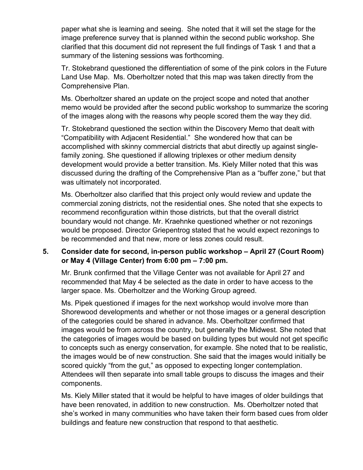paper what she is learning and seeing. She noted that it will set the stage for the image preference survey that is planned within the second public workshop. She clarified that this document did not represent the full findings of Task 1 and that a summary of the listening sessions was forthcoming.

Tr. Stokebrand questioned the differentiation of some of the pink colors in the Future Land Use Map. Ms. Oberholtzer noted that this map was taken directly from the Comprehensive Plan.

Ms. Oberholtzer shared an update on the project scope and noted that another memo would be provided after the second public workshop to summarize the scoring of the images along with the reasons why people scored them the way they did.

Tr. Stokebrand questioned the section within the Discovery Memo that dealt with "Compatibility with Adjacent Residential." She wondered how that can be accomplished with skinny commercial districts that abut directly up against singlefamily zoning. She questioned if allowing triplexes or other medium density development would provide a better transition. Ms. Kiely Miller noted that this was discussed during the drafting of the Comprehensive Plan as a "buffer zone," but that was ultimately not incorporated.

Ms. Oberholtzer also clarified that this project only would review and update the commercial zoning districts, not the residential ones. She noted that she expects to recommend reconfiguration within those districts, but that the overall district boundary would not change. Mr. Kraehnke questioned whether or not rezonings would be proposed. Director Griepentrog stated that he would expect rezonings to be recommended and that new, more or less zones could result.

#### **5. Consider date for second, in-person public workshop – April 27 (Court Room) or May 4 (Village Center) from 6:00 pm – 7:00 pm.**

Mr. Brunk confirmed that the Village Center was not available for April 27 and recommended that May 4 be selected as the date in order to have access to the larger space. Ms. Oberholtzer and the Working Group agreed.

Ms. Pipek questioned if images for the next workshop would involve more than Shorewood developments and whether or not those images or a general description of the categories could be shared in advance. Ms. Oberholtzer confirmed that images would be from across the country, but generally the Midwest. She noted that the categories of images would be based on building types but would not get specific to concepts such as energy conservation, for example. She noted that to be realistic, the images would be of new construction. She said that the images would initially be scored quickly "from the gut," as opposed to expecting longer contemplation. Attendees will then separate into small table groups to discuss the images and their components.

Ms. Kiely Miller stated that it would be helpful to have images of older buildings that have been renovated, in addition to new construction. Ms. Oberholtzer noted that she's worked in many communities who have taken their form based cues from older buildings and feature new construction that respond to that aesthetic.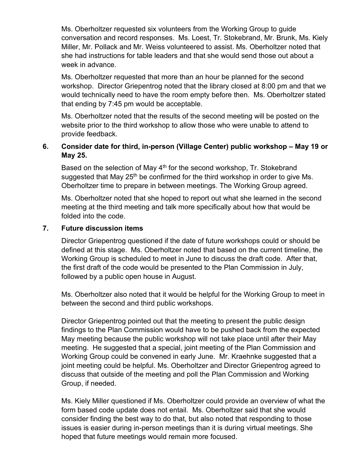Ms. Oberholtzer requested six volunteers from the Working Group to guide conversation and record responses. Ms. Loest, Tr. Stokebrand, Mr. Brunk, Ms. Kiely Miller, Mr. Pollack and Mr. Weiss volunteered to assist. Ms. Oberholtzer noted that she had instructions for table leaders and that she would send those out about a week in advance.

Ms. Oberholtzer requested that more than an hour be planned for the second workshop. Director Griepentrog noted that the library closed at 8:00 pm and that we would technically need to have the room empty before then. Ms. Oberholtzer stated that ending by 7:45 pm would be acceptable.

Ms. Oberholtzer noted that the results of the second meeting will be posted on the website prior to the third workshop to allow those who were unable to attend to provide feedback.

#### **6. Consider date for third, in-person (Village Center) public workshop – May 19 or May 25.**

Based on the selection of May 4<sup>th</sup> for the second workshop, Tr. Stokebrand suggested that May 25<sup>th</sup> be confirmed for the third workshop in order to give Ms. Oberholtzer time to prepare in between meetings. The Working Group agreed.

Ms. Oberholtzer noted that she hoped to report out what she learned in the second meeting at the third meeting and talk more specifically about how that would be folded into the code.

#### **7. Future discussion items**

Director Griepentrog questioned if the date of future workshops could or should be defined at this stage. Ms. Oberholtzer noted that based on the current timeline, the Working Group is scheduled to meet in June to discuss the draft code. After that, the first draft of the code would be presented to the Plan Commission in July, followed by a public open house in August.

Ms. Oberholtzer also noted that it would be helpful for the Working Group to meet in between the second and third public workshops.

Director Griepentrog pointed out that the meeting to present the public design findings to the Plan Commission would have to be pushed back from the expected May meeting because the public workshop will not take place until after their May meeting. He suggested that a special, joint meeting of the Plan Commission and Working Group could be convened in early June. Mr. Kraehnke suggested that a joint meeting could be helpful. Ms. Oberholtzer and Director Griepentrog agreed to discuss that outside of the meeting and poll the Plan Commission and Working Group, if needed.

Ms. Kiely Miller questioned if Ms. Oberholtzer could provide an overview of what the form based code update does not entail. Ms. Oberholtzer said that she would consider finding the best way to do that, but also noted that responding to those issues is easier during in-person meetings than it is during virtual meetings. She hoped that future meetings would remain more focused.